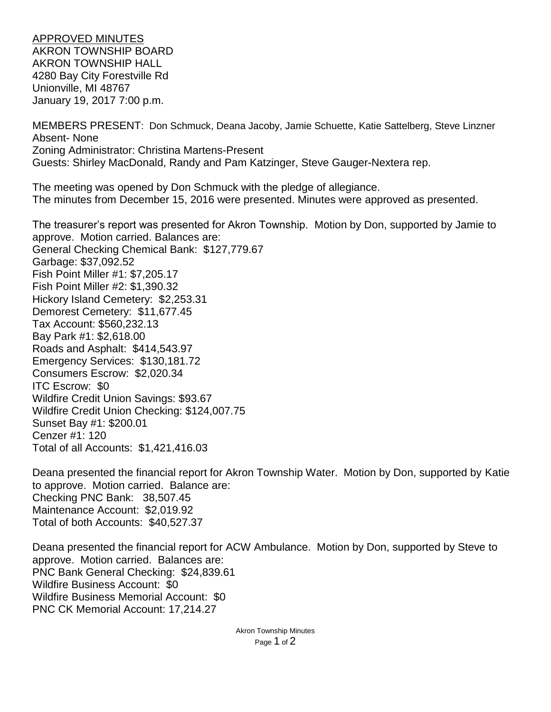APPROVED MINUTES AKRON TOWNSHIP BOARD AKRON TOWNSHIP HALL 4280 Bay City Forestville Rd Unionville, MI 48767 January 19, 2017 7:00 p.m.

MEMBERS PRESENT: Don Schmuck, Deana Jacoby, Jamie Schuette, Katie Sattelberg, Steve Linzner Absent- None Zoning Administrator: Christina Martens-Present Guests: Shirley MacDonald, Randy and Pam Katzinger, Steve Gauger-Nextera rep.

The meeting was opened by Don Schmuck with the pledge of allegiance. The minutes from December 15, 2016 were presented. Minutes were approved as presented.

The treasurer's report was presented for Akron Township. Motion by Don, supported by Jamie to approve. Motion carried. Balances are: General Checking Chemical Bank: \$127,779.67 Garbage: \$37,092.52 Fish Point Miller #1: \$7,205.17 Fish Point Miller #2: \$1,390.32 Hickory Island Cemetery: \$2,253.31 Demorest Cemetery: \$11,677.45 Tax Account: \$560,232.13 Bay Park #1: \$2,618.00 Roads and Asphalt: \$414,543.97 Emergency Services: \$130,181.72 Consumers Escrow: \$2,020.34 ITC Escrow: \$0 Wildfire Credit Union Savings: \$93.67 Wildfire Credit Union Checking: \$124,007.75 Sunset Bay #1: \$200.01 Cenzer #1: 120 Total of all Accounts: \$1,421,416.03

Deana presented the financial report for Akron Township Water. Motion by Don, supported by Katie to approve. Motion carried. Balance are: Checking PNC Bank: 38,507.45 Maintenance Account: \$2,019.92 Total of both Accounts: \$40,527.37

Deana presented the financial report for ACW Ambulance. Motion by Don, supported by Steve to approve. Motion carried. Balances are: PNC Bank General Checking: \$24,839.61 Wildfire Business Account: \$0 Wildfire Business Memorial Account: \$0 PNC CK Memorial Account: 17,214.27